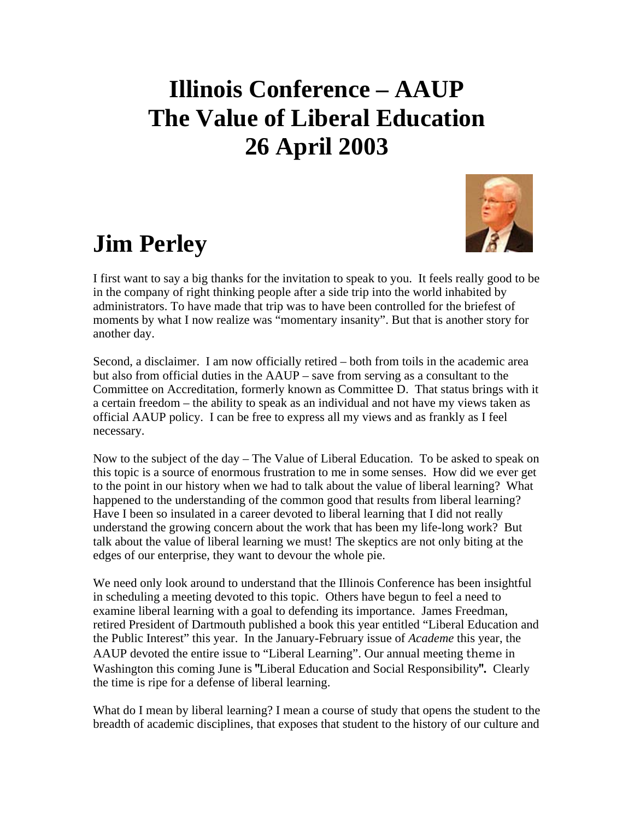## **Illinois Conference – AAUP The Value of Liberal Education 26 April 2003**

## **Jim Perley**



I first want to say a big thanks for the invitation to speak to you. It feels really good to be in the company of right thinking people after a side trip into the world inhabited by administrators. To have made that trip was to have been controlled for the briefest of moments by what I now realize was "momentary insanity". But that is another story for another day.

Second, a disclaimer. I am now officially retired – both from toils in the academic area but also from official duties in the AAUP – save from serving as a consultant to the Committee on Accreditation, formerly known as Committee D. That status brings with it a certain freedom – the ability to speak as an individual and not have my views taken as official AAUP policy. I can be free to express all my views and as frankly as I feel necessary.

Now to the subject of the day – The Value of Liberal Education. To be asked to speak on this topic is a source of enormous frustration to me in some senses. How did we ever get to the point in our history when we had to talk about the value of liberal learning? What happened to the understanding of the common good that results from liberal learning? Have I been so insulated in a career devoted to liberal learning that I did not really understand the growing concern about the work that has been my life-long work? But talk about the value of liberal learning we must! The skeptics are not only biting at the edges of our enterprise, they want to devour the whole pie.

We need only look around to understand that the Illinois Conference has been insightful in scheduling a meeting devoted to this topic. Others have begun to feel a need to examine liberal learning with a goal to defending its importance. James Freedman, retired President of Dartmouth published a book this year entitled "Liberal Education and the Public Interest" this year. In the January-February issue of *Academe* this year, the AAUP devoted the entire issue to "Liberal Learning". Our annual meeting theme in Washington this coming June is **"**Liberal Education and Social Responsibility**".** Clearly the time is ripe for a defense of liberal learning.

What do I mean by liberal learning? I mean a course of study that opens the student to the breadth of academic disciplines, that exposes that student to the history of our culture and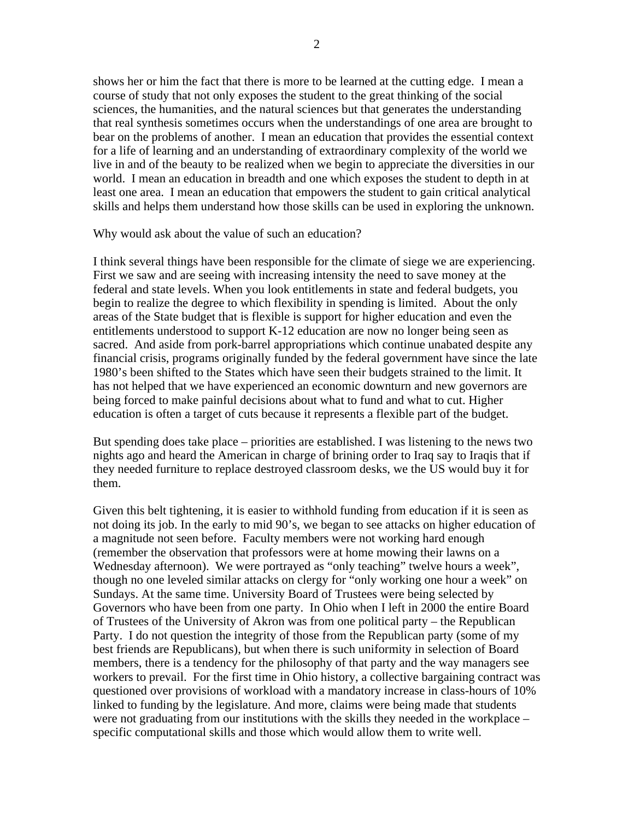shows her or him the fact that there is more to be learned at the cutting edge. I mean a course of study that not only exposes the student to the great thinking of the social sciences, the humanities, and the natural sciences but that generates the understanding that real synthesis sometimes occurs when the understandings of one area are brought to bear on the problems of another. I mean an education that provides the essential context for a life of learning and an understanding of extraordinary complexity of the world we live in and of the beauty to be realized when we begin to appreciate the diversities in our world. I mean an education in breadth and one which exposes the student to depth in at least one area. I mean an education that empowers the student to gain critical analytical skills and helps them understand how those skills can be used in exploring the unknown.

Why would ask about the value of such an education?

I think several things have been responsible for the climate of siege we are experiencing. First we saw and are seeing with increasing intensity the need to save money at the federal and state levels. When you look entitlements in state and federal budgets, you begin to realize the degree to which flexibility in spending is limited. About the only areas of the State budget that is flexible is support for higher education and even the entitlements understood to support K-12 education are now no longer being seen as sacred. And aside from pork-barrel appropriations which continue unabated despite any financial crisis, programs originally funded by the federal government have since the late 1980's been shifted to the States which have seen their budgets strained to the limit. It has not helped that we have experienced an economic downturn and new governors are being forced to make painful decisions about what to fund and what to cut. Higher education is often a target of cuts because it represents a flexible part of the budget.

But spending does take place – priorities are established. I was listening to the news two nights ago and heard the American in charge of brining order to Iraq say to Iraqis that if they needed furniture to replace destroyed classroom desks, we the US would buy it for them.

Given this belt tightening, it is easier to withhold funding from education if it is seen as not doing its job. In the early to mid 90's, we began to see attacks on higher education of a magnitude not seen before. Faculty members were not working hard enough (remember the observation that professors were at home mowing their lawns on a Wednesday afternoon). We were portrayed as "only teaching" twelve hours a week", though no one leveled similar attacks on clergy for "only working one hour a week" on Sundays. At the same time. University Board of Trustees were being selected by Governors who have been from one party. In Ohio when I left in 2000 the entire Board of Trustees of the University of Akron was from one political party – the Republican Party. I do not question the integrity of those from the Republican party (some of my best friends are Republicans), but when there is such uniformity in selection of Board members, there is a tendency for the philosophy of that party and the way managers see workers to prevail. For the first time in Ohio history, a collective bargaining contract was questioned over provisions of workload with a mandatory increase in class-hours of 10% linked to funding by the legislature. And more, claims were being made that students were not graduating from our institutions with the skills they needed in the workplace – specific computational skills and those which would allow them to write well.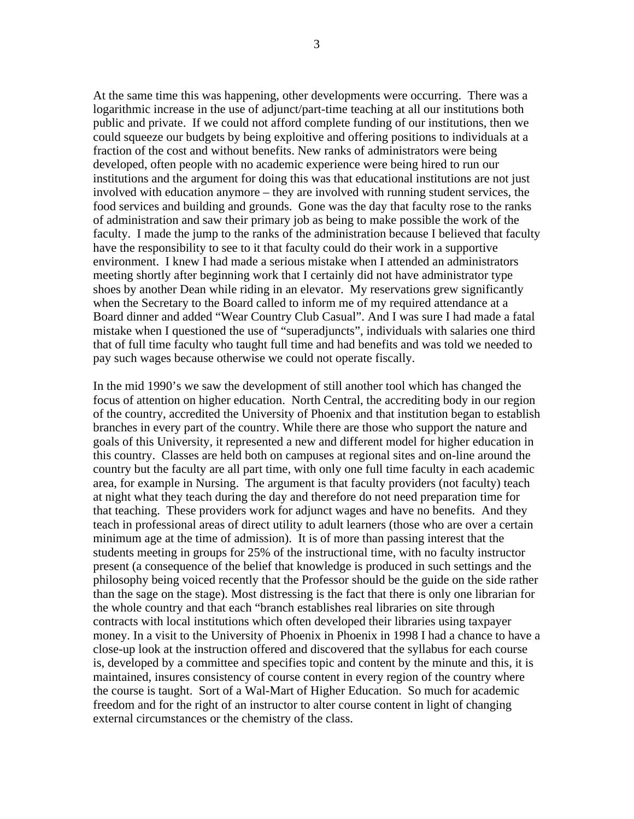At the same time this was happening, other developments were occurring. There was a logarithmic increase in the use of adjunct/part-time teaching at all our institutions both public and private. If we could not afford complete funding of our institutions, then we could squeeze our budgets by being exploitive and offering positions to individuals at a fraction of the cost and without benefits. New ranks of administrators were being developed, often people with no academic experience were being hired to run our institutions and the argument for doing this was that educational institutions are not just involved with education anymore – they are involved with running student services, the food services and building and grounds. Gone was the day that faculty rose to the ranks of administration and saw their primary job as being to make possible the work of the faculty. I made the jump to the ranks of the administration because I believed that faculty have the responsibility to see to it that faculty could do their work in a supportive environment. I knew I had made a serious mistake when I attended an administrators meeting shortly after beginning work that I certainly did not have administrator type shoes by another Dean while riding in an elevator. My reservations grew significantly when the Secretary to the Board called to inform me of my required attendance at a Board dinner and added "Wear Country Club Casual". And I was sure I had made a fatal mistake when I questioned the use of "superadjuncts", individuals with salaries one third that of full time faculty who taught full time and had benefits and was told we needed to pay such wages because otherwise we could not operate fiscally.

In the mid 1990's we saw the development of still another tool which has changed the focus of attention on higher education. North Central, the accrediting body in our region of the country, accredited the University of Phoenix and that institution began to establish branches in every part of the country. While there are those who support the nature and goals of this University, it represented a new and different model for higher education in this country. Classes are held both on campuses at regional sites and on-line around the country but the faculty are all part time, with only one full time faculty in each academic area, for example in Nursing. The argument is that faculty providers (not faculty) teach at night what they teach during the day and therefore do not need preparation time for that teaching. These providers work for adjunct wages and have no benefits. And they teach in professional areas of direct utility to adult learners (those who are over a certain minimum age at the time of admission). It is of more than passing interest that the students meeting in groups for 25% of the instructional time, with no faculty instructor present (a consequence of the belief that knowledge is produced in such settings and the philosophy being voiced recently that the Professor should be the guide on the side rather than the sage on the stage). Most distressing is the fact that there is only one librarian for the whole country and that each "branch establishes real libraries on site through contracts with local institutions which often developed their libraries using taxpayer money. In a visit to the University of Phoenix in Phoenix in 1998 I had a chance to have a close-up look at the instruction offered and discovered that the syllabus for each course is, developed by a committee and specifies topic and content by the minute and this, it is maintained, insures consistency of course content in every region of the country where the course is taught. Sort of a Wal-Mart of Higher Education. So much for academic freedom and for the right of an instructor to alter course content in light of changing external circumstances or the chemistry of the class.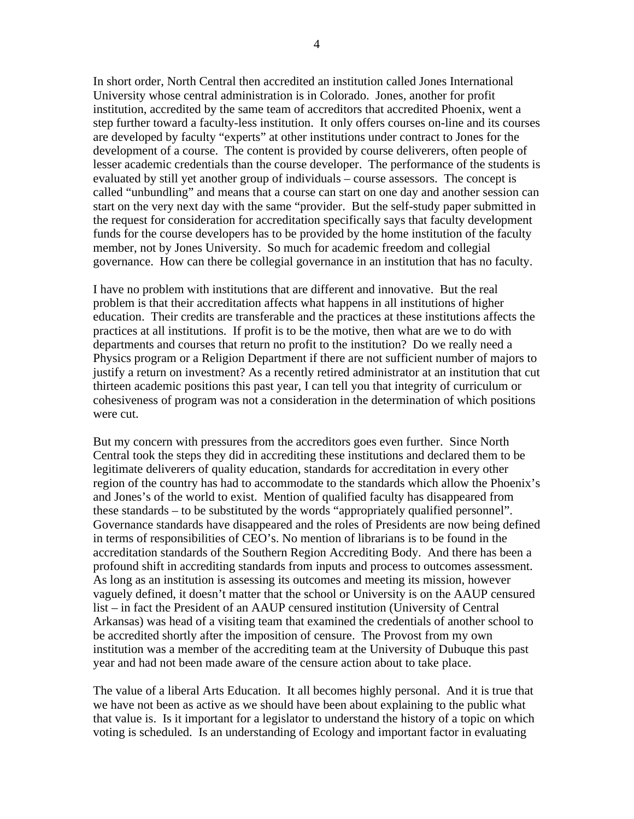In short order, North Central then accredited an institution called Jones International University whose central administration is in Colorado. Jones, another for profit institution, accredited by the same team of accreditors that accredited Phoenix, went a step further toward a faculty-less institution. It only offers courses on-line and its courses are developed by faculty "experts" at other institutions under contract to Jones for the development of a course. The content is provided by course deliverers, often people of lesser academic credentials than the course developer. The performance of the students is evaluated by still yet another group of individuals – course assessors. The concept is called "unbundling" and means that a course can start on one day and another session can start on the very next day with the same "provider. But the self-study paper submitted in the request for consideration for accreditation specifically says that faculty development funds for the course developers has to be provided by the home institution of the faculty member, not by Jones University. So much for academic freedom and collegial governance. How can there be collegial governance in an institution that has no faculty.

I have no problem with institutions that are different and innovative. But the real problem is that their accreditation affects what happens in all institutions of higher education. Their credits are transferable and the practices at these institutions affects the practices at all institutions. If profit is to be the motive, then what are we to do with departments and courses that return no profit to the institution? Do we really need a Physics program or a Religion Department if there are not sufficient number of majors to justify a return on investment? As a recently retired administrator at an institution that cut thirteen academic positions this past year, I can tell you that integrity of curriculum or cohesiveness of program was not a consideration in the determination of which positions were cut.

But my concern with pressures from the accreditors goes even further. Since North Central took the steps they did in accrediting these institutions and declared them to be legitimate deliverers of quality education, standards for accreditation in every other region of the country has had to accommodate to the standards which allow the Phoenix's and Jones's of the world to exist. Mention of qualified faculty has disappeared from these standards – to be substituted by the words "appropriately qualified personnel". Governance standards have disappeared and the roles of Presidents are now being defined in terms of responsibilities of CEO's. No mention of librarians is to be found in the accreditation standards of the Southern Region Accrediting Body. And there has been a profound shift in accrediting standards from inputs and process to outcomes assessment. As long as an institution is assessing its outcomes and meeting its mission, however vaguely defined, it doesn't matter that the school or University is on the AAUP censured list – in fact the President of an AAUP censured institution (University of Central Arkansas) was head of a visiting team that examined the credentials of another school to be accredited shortly after the imposition of censure. The Provost from my own institution was a member of the accrediting team at the University of Dubuque this past year and had not been made aware of the censure action about to take place.

The value of a liberal Arts Education. It all becomes highly personal. And it is true that we have not been as active as we should have been about explaining to the public what that value is. Is it important for a legislator to understand the history of a topic on which voting is scheduled. Is an understanding of Ecology and important factor in evaluating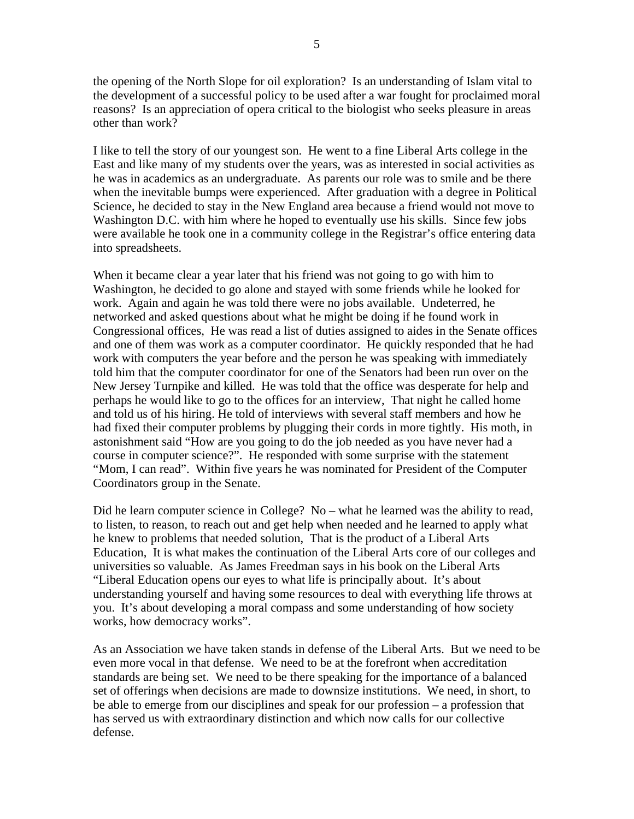the opening of the North Slope for oil exploration? Is an understanding of Islam vital to the development of a successful policy to be used after a war fought for proclaimed moral reasons? Is an appreciation of opera critical to the biologist who seeks pleasure in areas other than work?

I like to tell the story of our youngest son. He went to a fine Liberal Arts college in the East and like many of my students over the years, was as interested in social activities as he was in academics as an undergraduate. As parents our role was to smile and be there when the inevitable bumps were experienced. After graduation with a degree in Political Science, he decided to stay in the New England area because a friend would not move to Washington D.C. with him where he hoped to eventually use his skills. Since few jobs were available he took one in a community college in the Registrar's office entering data into spreadsheets.

When it became clear a year later that his friend was not going to go with him to Washington, he decided to go alone and stayed with some friends while he looked for work. Again and again he was told there were no jobs available. Undeterred, he networked and asked questions about what he might be doing if he found work in Congressional offices, He was read a list of duties assigned to aides in the Senate offices and one of them was work as a computer coordinator. He quickly responded that he had work with computers the year before and the person he was speaking with immediately told him that the computer coordinator for one of the Senators had been run over on the New Jersey Turnpike and killed. He was told that the office was desperate for help and perhaps he would like to go to the offices for an interview, That night he called home and told us of his hiring. He told of interviews with several staff members and how he had fixed their computer problems by plugging their cords in more tightly. His moth, in astonishment said "How are you going to do the job needed as you have never had a course in computer science?". He responded with some surprise with the statement "Mom, I can read". Within five years he was nominated for President of the Computer Coordinators group in the Senate.

Did he learn computer science in College? No – what he learned was the ability to read, to listen, to reason, to reach out and get help when needed and he learned to apply what he knew to problems that needed solution, That is the product of a Liberal Arts Education, It is what makes the continuation of the Liberal Arts core of our colleges and universities so valuable. As James Freedman says in his book on the Liberal Arts "Liberal Education opens our eyes to what life is principally about. It's about understanding yourself and having some resources to deal with everything life throws at you. It's about developing a moral compass and some understanding of how society works, how democracy works".

As an Association we have taken stands in defense of the Liberal Arts. But we need to be even more vocal in that defense. We need to be at the forefront when accreditation standards are being set. We need to be there speaking for the importance of a balanced set of offerings when decisions are made to downsize institutions. We need, in short, to be able to emerge from our disciplines and speak for our profession – a profession that has served us with extraordinary distinction and which now calls for our collective defense.